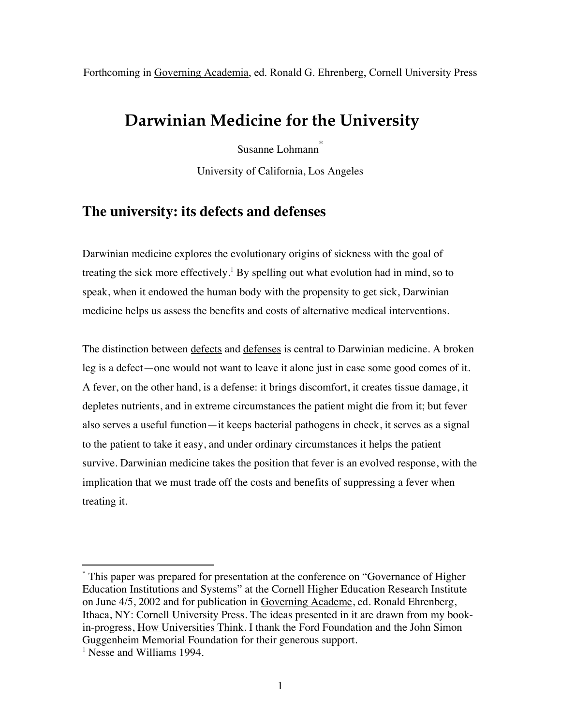Forthcoming in Governing Academia, ed. Ronald G. Ehrenberg, Cornell University Press

# **Darwinian Medicine for the University**

Susanne Lohmann\*

University of California, Los Angeles

#### **The university: its defects and defenses**

Darwinian medicine explores the evolutionary origins of sickness with the goal of treating the sick more effectively.<sup>1</sup> By spelling out what evolution had in mind, so to speak, when it endowed the human body with the propensity to get sick, Darwinian medicine helps us assess the benefits and costs of alternative medical interventions.

The distinction between defects and defenses is central to Darwinian medicine. A broken leg is a defect—one would not want to leave it alone just in case some good comes of it. A fever, on the other hand, is a defense: it brings discomfort, it creates tissue damage, it depletes nutrients, and in extreme circumstances the patient might die from it; but fever also serves a useful function—it keeps bacterial pathogens in check, it serves as a signal to the patient to take it easy, and under ordinary circumstances it helps the patient survive. Darwinian medicine takes the position that fever is an evolved response, with the implication that we must trade off the costs and benefits of suppressing a fever when treating it.

 <sup>\*</sup> This paper was prepared for presentation at the conference on "Governance of Higher Education Institutions and Systems" at the Cornell Higher Education Research Institute on June 4/5, 2002 and for publication in Governing Academe, ed. Ronald Ehrenberg, Ithaca, NY: Cornell University Press. The ideas presented in it are drawn from my bookin-progress, How Universities Think. I thank the Ford Foundation and the John Simon Guggenheim Memorial Foundation for their generous support.

<sup>&</sup>lt;sup>1</sup> Nesse and Williams 1994.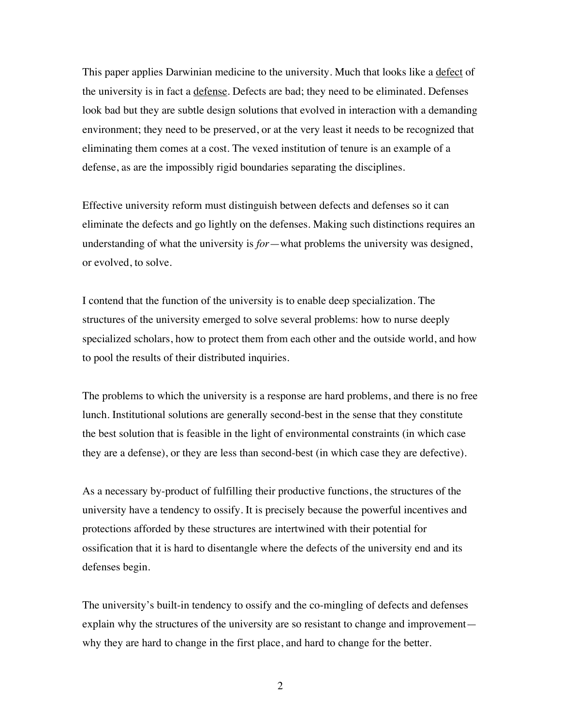This paper applies Darwinian medicine to the university. Much that looks like a defect of the university is in fact a defense. Defects are bad; they need to be eliminated. Defenses look bad but they are subtle design solutions that evolved in interaction with a demanding environment; they need to be preserved, or at the very least it needs to be recognized that eliminating them comes at a cost. The vexed institution of tenure is an example of a defense, as are the impossibly rigid boundaries separating the disciplines.

Effective university reform must distinguish between defects and defenses so it can eliminate the defects and go lightly on the defenses. Making such distinctions requires an understanding of what the university is *for*—what problems the university was designed, or evolved, to solve.

I contend that the function of the university is to enable deep specialization. The structures of the university emerged to solve several problems: how to nurse deeply specialized scholars, how to protect them from each other and the outside world, and how to pool the results of their distributed inquiries.

The problems to which the university is a response are hard problems, and there is no free lunch. Institutional solutions are generally second-best in the sense that they constitute the best solution that is feasible in the light of environmental constraints (in which case they are a defense), or they are less than second-best (in which case they are defective).

As a necessary by-product of fulfilling their productive functions, the structures of the university have a tendency to ossify. It is precisely because the powerful incentives and protections afforded by these structures are intertwined with their potential for ossification that it is hard to disentangle where the defects of the university end and its defenses begin.

The university's built-in tendency to ossify and the co-mingling of defects and defenses explain why the structures of the university are so resistant to change and improvement why they are hard to change in the first place, and hard to change for the better.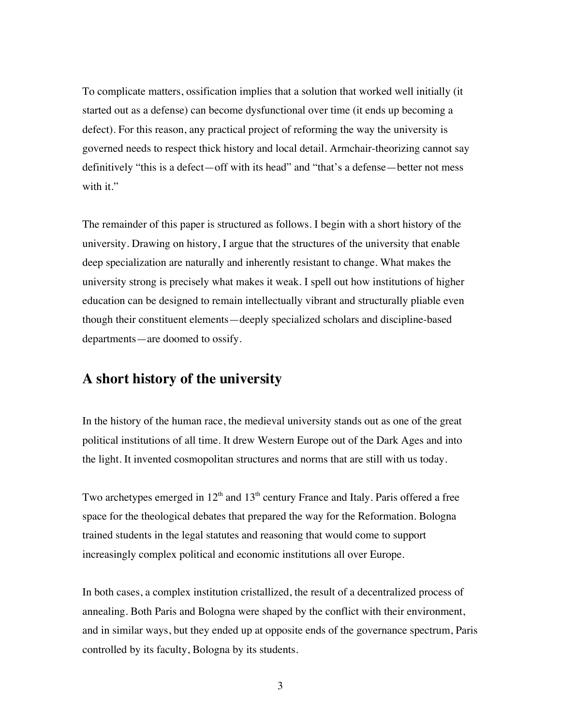To complicate matters, ossification implies that a solution that worked well initially (it started out as a defense) can become dysfunctional over time (it ends up becoming a defect). For this reason, any practical project of reforming the way the university is governed needs to respect thick history and local detail. Armchair-theorizing cannot say definitively "this is a defect—off with its head" and "that's a defense—better not mess with it."

The remainder of this paper is structured as follows. I begin with a short history of the university. Drawing on history, I argue that the structures of the university that enable deep specialization are naturally and inherently resistant to change. What makes the university strong is precisely what makes it weak. I spell out how institutions of higher education can be designed to remain intellectually vibrant and structurally pliable even though their constituent elements—deeply specialized scholars and discipline-based departments—are doomed to ossify.

### **A short history of the university**

In the history of the human race, the medieval university stands out as one of the great political institutions of all time. It drew Western Europe out of the Dark Ages and into the light. It invented cosmopolitan structures and norms that are still with us today.

Two archetypes emerged in  $12<sup>th</sup>$  and  $13<sup>th</sup>$  century France and Italy. Paris offered a free space for the theological debates that prepared the way for the Reformation. Bologna trained students in the legal statutes and reasoning that would come to support increasingly complex political and economic institutions all over Europe.

In both cases, a complex institution cristallized, the result of a decentralized process of annealing. Both Paris and Bologna were shaped by the conflict with their environment, and in similar ways, but they ended up at opposite ends of the governance spectrum, Paris controlled by its faculty, Bologna by its students.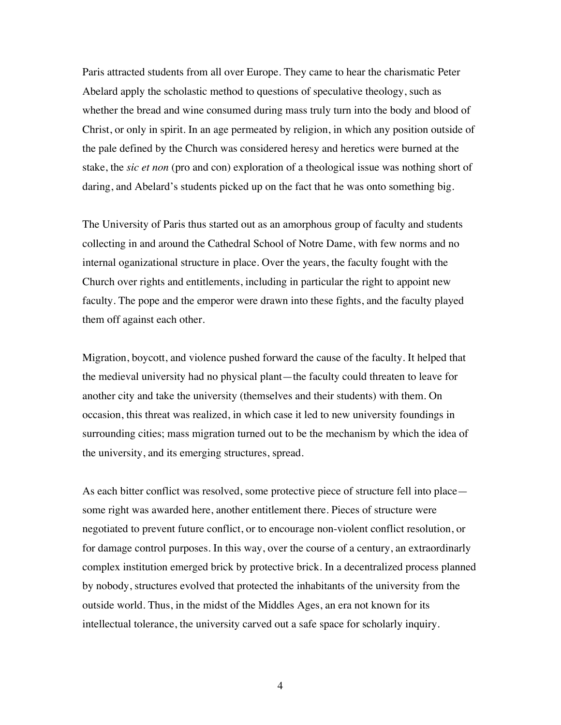Paris attracted students from all over Europe. They came to hear the charismatic Peter Abelard apply the scholastic method to questions of speculative theology, such as whether the bread and wine consumed during mass truly turn into the body and blood of Christ, or only in spirit. In an age permeated by religion, in which any position outside of the pale defined by the Church was considered heresy and heretics were burned at the stake, the *sic et non* (pro and con) exploration of a theological issue was nothing short of daring, and Abelard's students picked up on the fact that he was onto something big.

The University of Paris thus started out as an amorphous group of faculty and students collecting in and around the Cathedral School of Notre Dame, with few norms and no internal oganizational structure in place. Over the years, the faculty fought with the Church over rights and entitlements, including in particular the right to appoint new faculty. The pope and the emperor were drawn into these fights, and the faculty played them off against each other.

Migration, boycott, and violence pushed forward the cause of the faculty. It helped that the medieval university had no physical plant—the faculty could threaten to leave for another city and take the university (themselves and their students) with them. On occasion, this threat was realized, in which case it led to new university foundings in surrounding cities; mass migration turned out to be the mechanism by which the idea of the university, and its emerging structures, spread.

As each bitter conflict was resolved, some protective piece of structure fell into place some right was awarded here, another entitlement there. Pieces of structure were negotiated to prevent future conflict, or to encourage non-violent conflict resolution, or for damage control purposes. In this way, over the course of a century, an extraordinarly complex institution emerged brick by protective brick. In a decentralized process planned by nobody, structures evolved that protected the inhabitants of the university from the outside world. Thus, in the midst of the Middles Ages, an era not known for its intellectual tolerance, the university carved out a safe space for scholarly inquiry.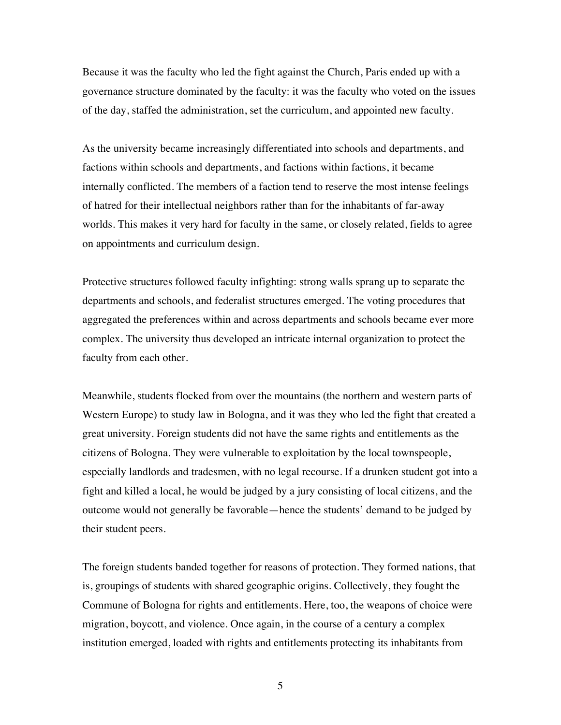Because it was the faculty who led the fight against the Church, Paris ended up with a governance structure dominated by the faculty: it was the faculty who voted on the issues of the day, staffed the administration, set the curriculum, and appointed new faculty.

As the university became increasingly differentiated into schools and departments, and factions within schools and departments, and factions within factions, it became internally conflicted. The members of a faction tend to reserve the most intense feelings of hatred for their intellectual neighbors rather than for the inhabitants of far-away worlds. This makes it very hard for faculty in the same, or closely related, fields to agree on appointments and curriculum design.

Protective structures followed faculty infighting: strong walls sprang up to separate the departments and schools, and federalist structures emerged. The voting procedures that aggregated the preferences within and across departments and schools became ever more complex. The university thus developed an intricate internal organization to protect the faculty from each other.

Meanwhile, students flocked from over the mountains (the northern and western parts of Western Europe) to study law in Bologna, and it was they who led the fight that created a great university. Foreign students did not have the same rights and entitlements as the citizens of Bologna. They were vulnerable to exploitation by the local townspeople, especially landlords and tradesmen, with no legal recourse. If a drunken student got into a fight and killed a local, he would be judged by a jury consisting of local citizens, and the outcome would not generally be favorable—hence the students' demand to be judged by their student peers.

The foreign students banded together for reasons of protection. They formed nations, that is, groupings of students with shared geographic origins. Collectively, they fought the Commune of Bologna for rights and entitlements. Here, too, the weapons of choice were migration, boycott, and violence. Once again, in the course of a century a complex institution emerged, loaded with rights and entitlements protecting its inhabitants from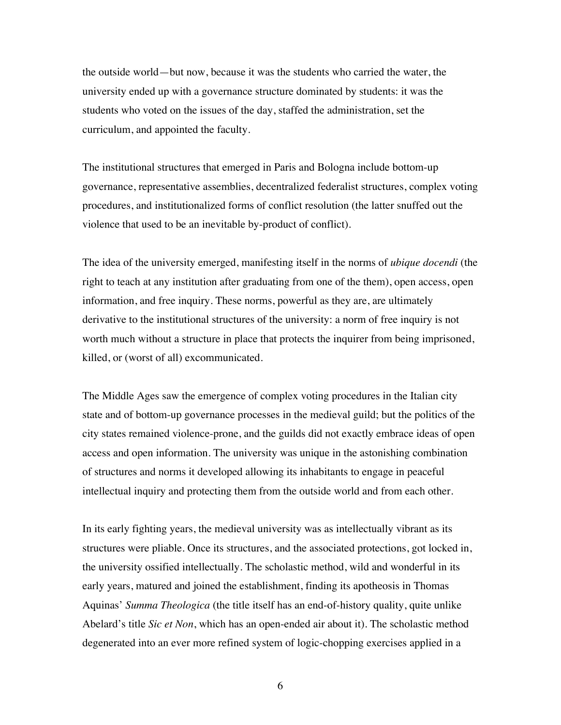the outside world—but now, because it was the students who carried the water, the university ended up with a governance structure dominated by students: it was the students who voted on the issues of the day, staffed the administration, set the curriculum, and appointed the faculty.

The institutional structures that emerged in Paris and Bologna include bottom-up governance, representative assemblies, decentralized federalist structures, complex voting procedures, and institutionalized forms of conflict resolution (the latter snuffed out the violence that used to be an inevitable by-product of conflict).

The idea of the university emerged, manifesting itself in the norms of *ubique docendi* (the right to teach at any institution after graduating from one of the them), open access, open information, and free inquiry. These norms, powerful as they are, are ultimately derivative to the institutional structures of the university: a norm of free inquiry is not worth much without a structure in place that protects the inquirer from being imprisoned, killed, or (worst of all) excommunicated.

The Middle Ages saw the emergence of complex voting procedures in the Italian city state and of bottom-up governance processes in the medieval guild; but the politics of the city states remained violence-prone, and the guilds did not exactly embrace ideas of open access and open information. The university was unique in the astonishing combination of structures and norms it developed allowing its inhabitants to engage in peaceful intellectual inquiry and protecting them from the outside world and from each other.

In its early fighting years, the medieval university was as intellectually vibrant as its structures were pliable. Once its structures, and the associated protections, got locked in, the university ossified intellectually. The scholastic method, wild and wonderful in its early years, matured and joined the establishment, finding its apotheosis in Thomas Aquinas' *Summa Theologica* (the title itself has an end-of-history quality, quite unlike Abelard's title *Sic et Non*, which has an open-ended air about it). The scholastic method degenerated into an ever more refined system of logic-chopping exercises applied in a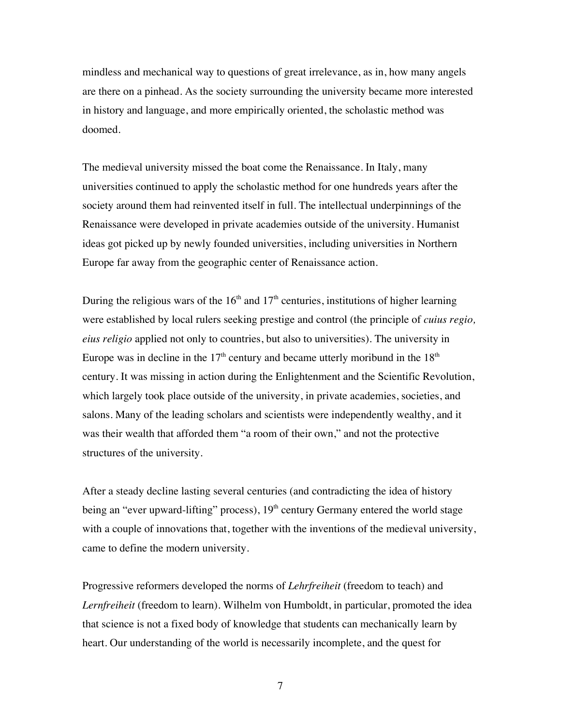mindless and mechanical way to questions of great irrelevance, as in, how many angels are there on a pinhead. As the society surrounding the university became more interested in history and language, and more empirically oriented, the scholastic method was doomed.

The medieval university missed the boat come the Renaissance. In Italy, many universities continued to apply the scholastic method for one hundreds years after the society around them had reinvented itself in full. The intellectual underpinnings of the Renaissance were developed in private academies outside of the university. Humanist ideas got picked up by newly founded universities, including universities in Northern Europe far away from the geographic center of Renaissance action.

During the religious wars of the  $16<sup>th</sup>$  and  $17<sup>th</sup>$  centuries, institutions of higher learning were established by local rulers seeking prestige and control (the principle of *cuius regio, eius religio* applied not only to countries, but also to universities). The university in Europe was in decline in the  $17<sup>th</sup>$  century and became utterly moribund in the  $18<sup>th</sup>$ century. It was missing in action during the Enlightenment and the Scientific Revolution, which largely took place outside of the university, in private academies, societies, and salons. Many of the leading scholars and scientists were independently wealthy, and it was their wealth that afforded them "a room of their own," and not the protective structures of the university.

After a steady decline lasting several centuries (and contradicting the idea of history being an "ever upward-lifting" process),  $19<sup>th</sup>$  century Germany entered the world stage with a couple of innovations that, together with the inventions of the medieval university, came to define the modern university.

Progressive reformers developed the norms of *Lehrfreiheit* (freedom to teach) and *Lernfreiheit* (freedom to learn). Wilhelm von Humboldt, in particular, promoted the idea that science is not a fixed body of knowledge that students can mechanically learn by heart. Our understanding of the world is necessarily incomplete, and the quest for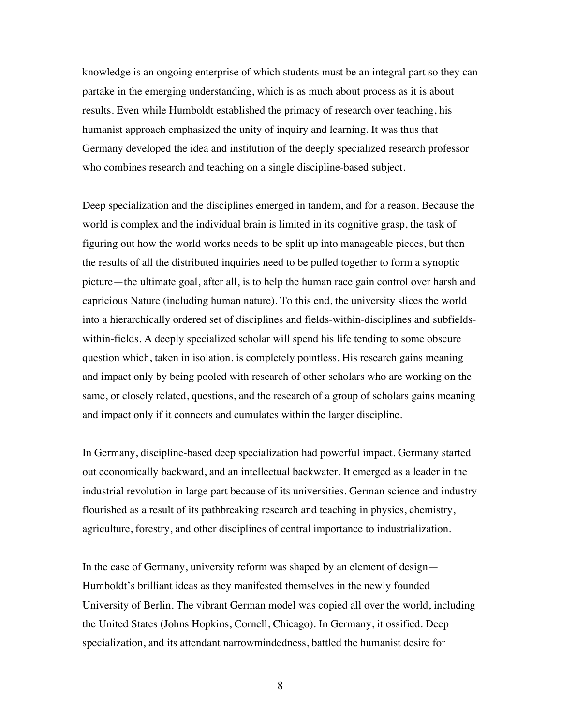knowledge is an ongoing enterprise of which students must be an integral part so they can partake in the emerging understanding, which is as much about process as it is about results. Even while Humboldt established the primacy of research over teaching, his humanist approach emphasized the unity of inquiry and learning. It was thus that Germany developed the idea and institution of the deeply specialized research professor who combines research and teaching on a single discipline-based subject.

Deep specialization and the disciplines emerged in tandem, and for a reason. Because the world is complex and the individual brain is limited in its cognitive grasp, the task of figuring out how the world works needs to be split up into manageable pieces, but then the results of all the distributed inquiries need to be pulled together to form a synoptic picture—the ultimate goal, after all, is to help the human race gain control over harsh and capricious Nature (including human nature). To this end, the university slices the world into a hierarchically ordered set of disciplines and fields-within-disciplines and subfieldswithin-fields. A deeply specialized scholar will spend his life tending to some obscure question which, taken in isolation, is completely pointless. His research gains meaning and impact only by being pooled with research of other scholars who are working on the same, or closely related, questions, and the research of a group of scholars gains meaning and impact only if it connects and cumulates within the larger discipline.

In Germany, discipline-based deep specialization had powerful impact. Germany started out economically backward, and an intellectual backwater. It emerged as a leader in the industrial revolution in large part because of its universities. German science and industry flourished as a result of its pathbreaking research and teaching in physics, chemistry, agriculture, forestry, and other disciplines of central importance to industrialization.

In the case of Germany, university reform was shaped by an element of design— Humboldt's brilliant ideas as they manifested themselves in the newly founded University of Berlin. The vibrant German model was copied all over the world, including the United States (Johns Hopkins, Cornell, Chicago). In Germany, it ossified. Deep specialization, and its attendant narrowmindedness, battled the humanist desire for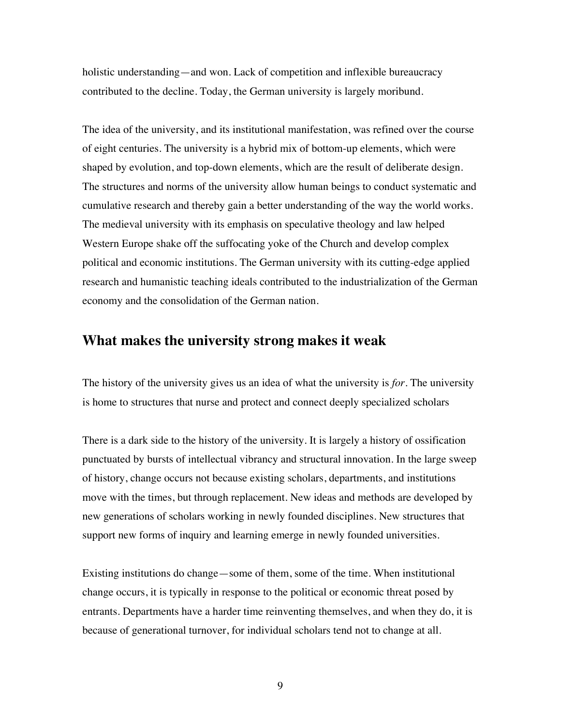holistic understanding—and won. Lack of competition and inflexible bureaucracy contributed to the decline. Today, the German university is largely moribund.

The idea of the university, and its institutional manifestation, was refined over the course of eight centuries. The university is a hybrid mix of bottom-up elements, which were shaped by evolution, and top-down elements, which are the result of deliberate design. The structures and norms of the university allow human beings to conduct systematic and cumulative research and thereby gain a better understanding of the way the world works. The medieval university with its emphasis on speculative theology and law helped Western Europe shake off the suffocating yoke of the Church and develop complex political and economic institutions. The German university with its cutting-edge applied research and humanistic teaching ideals contributed to the industrialization of the German economy and the consolidation of the German nation.

### **What makes the university strong makes it weak**

The history of the university gives us an idea of what the university is *for*. The university is home to structures that nurse and protect and connect deeply specialized scholars

There is a dark side to the history of the university. It is largely a history of ossification punctuated by bursts of intellectual vibrancy and structural innovation. In the large sweep of history, change occurs not because existing scholars, departments, and institutions move with the times, but through replacement. New ideas and methods are developed by new generations of scholars working in newly founded disciplines. New structures that support new forms of inquiry and learning emerge in newly founded universities.

Existing institutions do change—some of them, some of the time. When institutional change occurs, it is typically in response to the political or economic threat posed by entrants. Departments have a harder time reinventing themselves, and when they do, it is because of generational turnover, for individual scholars tend not to change at all.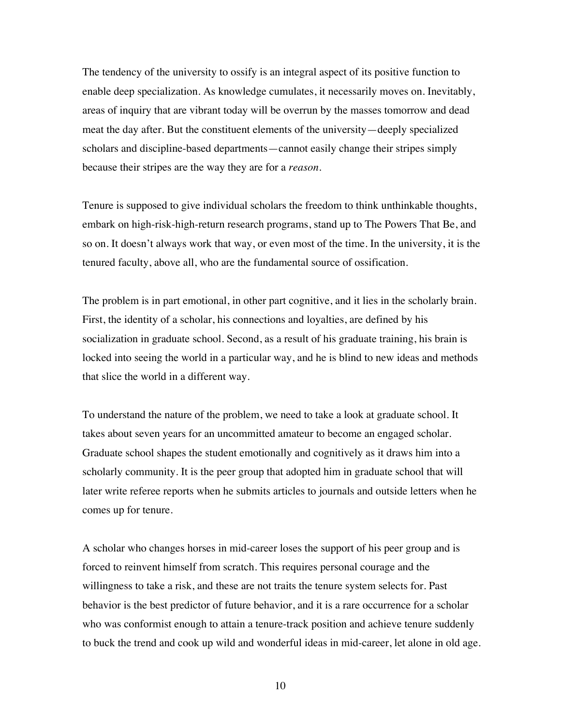The tendency of the university to ossify is an integral aspect of its positive function to enable deep specialization. As knowledge cumulates, it necessarily moves on. Inevitably, areas of inquiry that are vibrant today will be overrun by the masses tomorrow and dead meat the day after. But the constituent elements of the university—deeply specialized scholars and discipline-based departments—cannot easily change their stripes simply because their stripes are the way they are for a *reason*.

Tenure is supposed to give individual scholars the freedom to think unthinkable thoughts, embark on high-risk-high-return research programs, stand up to The Powers That Be, and so on. It doesn't always work that way, or even most of the time. In the university, it is the tenured faculty, above all, who are the fundamental source of ossification.

The problem is in part emotional, in other part cognitive, and it lies in the scholarly brain. First, the identity of a scholar, his connections and loyalties, are defined by his socialization in graduate school. Second, as a result of his graduate training, his brain is locked into seeing the world in a particular way, and he is blind to new ideas and methods that slice the world in a different way.

To understand the nature of the problem, we need to take a look at graduate school. It takes about seven years for an uncommitted amateur to become an engaged scholar. Graduate school shapes the student emotionally and cognitively as it draws him into a scholarly community. It is the peer group that adopted him in graduate school that will later write referee reports when he submits articles to journals and outside letters when he comes up for tenure.

A scholar who changes horses in mid-career loses the support of his peer group and is forced to reinvent himself from scratch. This requires personal courage and the willingness to take a risk, and these are not traits the tenure system selects for. Past behavior is the best predictor of future behavior, and it is a rare occurrence for a scholar who was conformist enough to attain a tenure-track position and achieve tenure suddenly to buck the trend and cook up wild and wonderful ideas in mid-career, let alone in old age.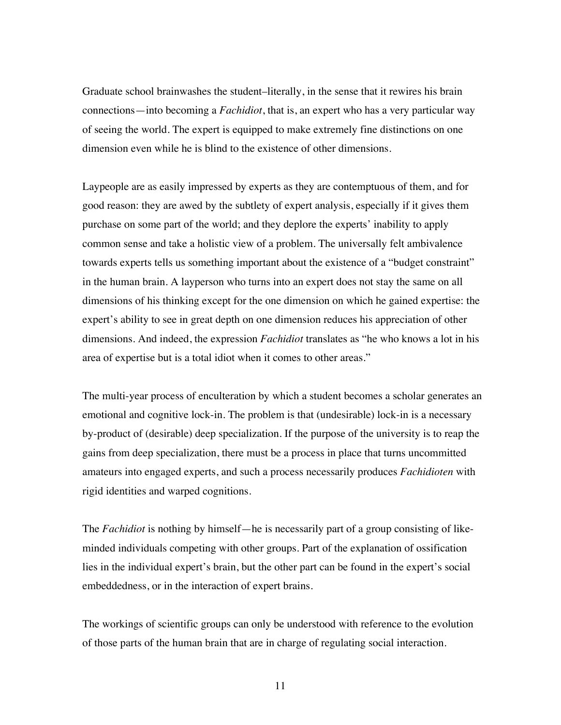Graduate school brainwashes the student–literally, in the sense that it rewires his brain connections—into becoming a *Fachidiot*, that is, an expert who has a very particular way of seeing the world. The expert is equipped to make extremely fine distinctions on one dimension even while he is blind to the existence of other dimensions.

Laypeople are as easily impressed by experts as they are contemptuous of them, and for good reason: they are awed by the subtlety of expert analysis, especially if it gives them purchase on some part of the world; and they deplore the experts' inability to apply common sense and take a holistic view of a problem. The universally felt ambivalence towards experts tells us something important about the existence of a "budget constraint" in the human brain. A layperson who turns into an expert does not stay the same on all dimensions of his thinking except for the one dimension on which he gained expertise: the expert's ability to see in great depth on one dimension reduces his appreciation of other dimensions. And indeed, the expression *Fachidiot* translates as "he who knows a lot in his area of expertise but is a total idiot when it comes to other areas."

The multi-year process of enculteration by which a student becomes a scholar generates an emotional and cognitive lock-in. The problem is that (undesirable) lock-in is a necessary by-product of (desirable) deep specialization. If the purpose of the university is to reap the gains from deep specialization, there must be a process in place that turns uncommitted amateurs into engaged experts, and such a process necessarily produces *Fachidioten* with rigid identities and warped cognitions.

The *Fachidiot* is nothing by himself—he is necessarily part of a group consisting of likeminded individuals competing with other groups. Part of the explanation of ossification lies in the individual expert's brain, but the other part can be found in the expert's social embeddedness, or in the interaction of expert brains.

The workings of scientific groups can only be understood with reference to the evolution of those parts of the human brain that are in charge of regulating social interaction.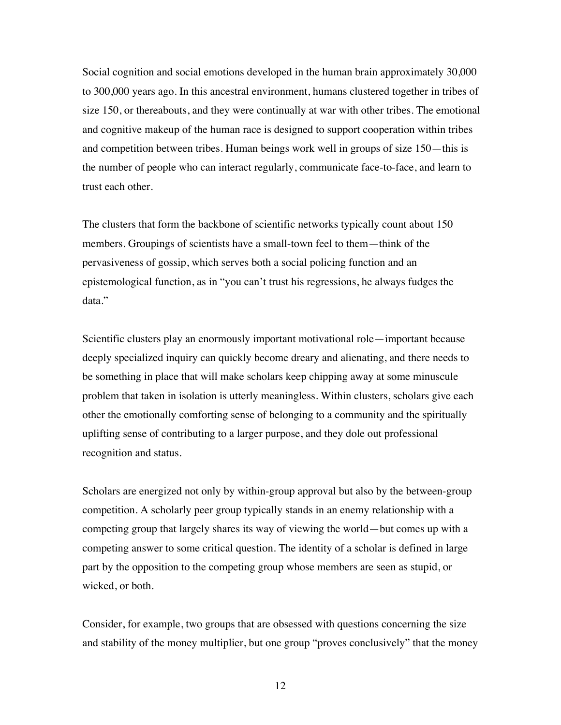Social cognition and social emotions developed in the human brain approximately 30,000 to 300,000 years ago. In this ancestral environment, humans clustered together in tribes of size 150, or thereabouts, and they were continually at war with other tribes. The emotional and cognitive makeup of the human race is designed to support cooperation within tribes and competition between tribes. Human beings work well in groups of size 150—this is the number of people who can interact regularly, communicate face-to-face, and learn to trust each other.

The clusters that form the backbone of scientific networks typically count about 150 members. Groupings of scientists have a small-town feel to them—think of the pervasiveness of gossip, which serves both a social policing function and an epistemological function, as in "you can't trust his regressions, he always fudges the data."

Scientific clusters play an enormously important motivational role—important because deeply specialized inquiry can quickly become dreary and alienating, and there needs to be something in place that will make scholars keep chipping away at some minuscule problem that taken in isolation is utterly meaningless. Within clusters, scholars give each other the emotionally comforting sense of belonging to a community and the spiritually uplifting sense of contributing to a larger purpose, and they dole out professional recognition and status.

Scholars are energized not only by within-group approval but also by the between-group competition. A scholarly peer group typically stands in an enemy relationship with a competing group that largely shares its way of viewing the world—but comes up with a competing answer to some critical question. The identity of a scholar is defined in large part by the opposition to the competing group whose members are seen as stupid, or wicked, or both.

Consider, for example, two groups that are obsessed with questions concerning the size and stability of the money multiplier, but one group "proves conclusively" that the money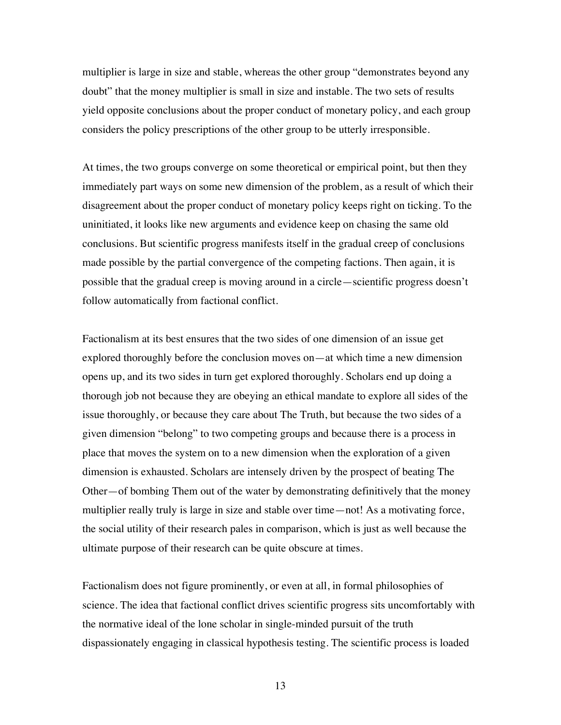multiplier is large in size and stable, whereas the other group "demonstrates beyond any doubt" that the money multiplier is small in size and instable. The two sets of results yield opposite conclusions about the proper conduct of monetary policy, and each group considers the policy prescriptions of the other group to be utterly irresponsible.

At times, the two groups converge on some theoretical or empirical point, but then they immediately part ways on some new dimension of the problem, as a result of which their disagreement about the proper conduct of monetary policy keeps right on ticking. To the uninitiated, it looks like new arguments and evidence keep on chasing the same old conclusions. But scientific progress manifests itself in the gradual creep of conclusions made possible by the partial convergence of the competing factions. Then again, it is possible that the gradual creep is moving around in a circle—scientific progress doesn't follow automatically from factional conflict.

Factionalism at its best ensures that the two sides of one dimension of an issue get explored thoroughly before the conclusion moves on—at which time a new dimension opens up, and its two sides in turn get explored thoroughly. Scholars end up doing a thorough job not because they are obeying an ethical mandate to explore all sides of the issue thoroughly, or because they care about The Truth, but because the two sides of a given dimension "belong" to two competing groups and because there is a process in place that moves the system on to a new dimension when the exploration of a given dimension is exhausted. Scholars are intensely driven by the prospect of beating The Other—of bombing Them out of the water by demonstrating definitively that the money multiplier really truly is large in size and stable over time—not! As a motivating force, the social utility of their research pales in comparison, which is just as well because the ultimate purpose of their research can be quite obscure at times.

Factionalism does not figure prominently, or even at all, in formal philosophies of science. The idea that factional conflict drives scientific progress sits uncomfortably with the normative ideal of the lone scholar in single-minded pursuit of the truth dispassionately engaging in classical hypothesis testing. The scientific process is loaded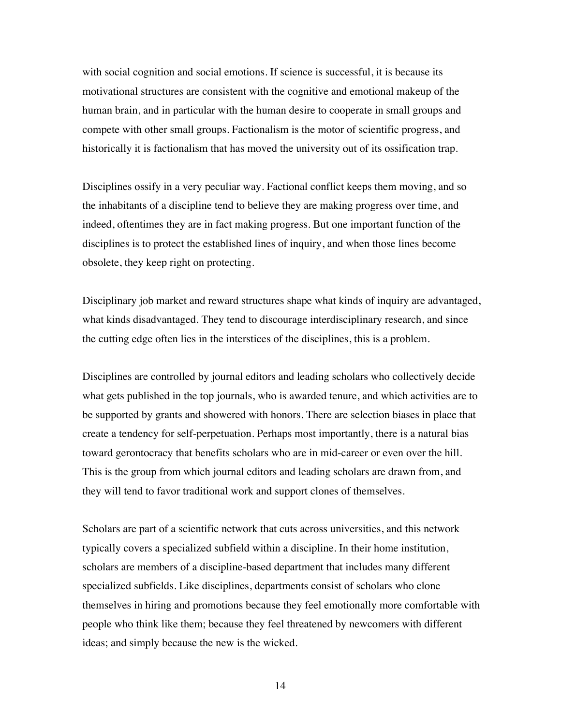with social cognition and social emotions. If science is successful, it is because its motivational structures are consistent with the cognitive and emotional makeup of the human brain, and in particular with the human desire to cooperate in small groups and compete with other small groups. Factionalism is the motor of scientific progress, and historically it is factionalism that has moved the university out of its ossification trap.

Disciplines ossify in a very peculiar way. Factional conflict keeps them moving, and so the inhabitants of a discipline tend to believe they are making progress over time, and indeed, oftentimes they are in fact making progress. But one important function of the disciplines is to protect the established lines of inquiry, and when those lines become obsolete, they keep right on protecting.

Disciplinary job market and reward structures shape what kinds of inquiry are advantaged, what kinds disadvantaged. They tend to discourage interdisciplinary research, and since the cutting edge often lies in the interstices of the disciplines, this is a problem.

Disciplines are controlled by journal editors and leading scholars who collectively decide what gets published in the top journals, who is awarded tenure, and which activities are to be supported by grants and showered with honors. There are selection biases in place that create a tendency for self-perpetuation. Perhaps most importantly, there is a natural bias toward gerontocracy that benefits scholars who are in mid-career or even over the hill. This is the group from which journal editors and leading scholars are drawn from, and they will tend to favor traditional work and support clones of themselves.

Scholars are part of a scientific network that cuts across universities, and this network typically covers a specialized subfield within a discipline. In their home institution, scholars are members of a discipline-based department that includes many different specialized subfields. Like disciplines, departments consist of scholars who clone themselves in hiring and promotions because they feel emotionally more comfortable with people who think like them; because they feel threatened by newcomers with different ideas; and simply because the new is the wicked.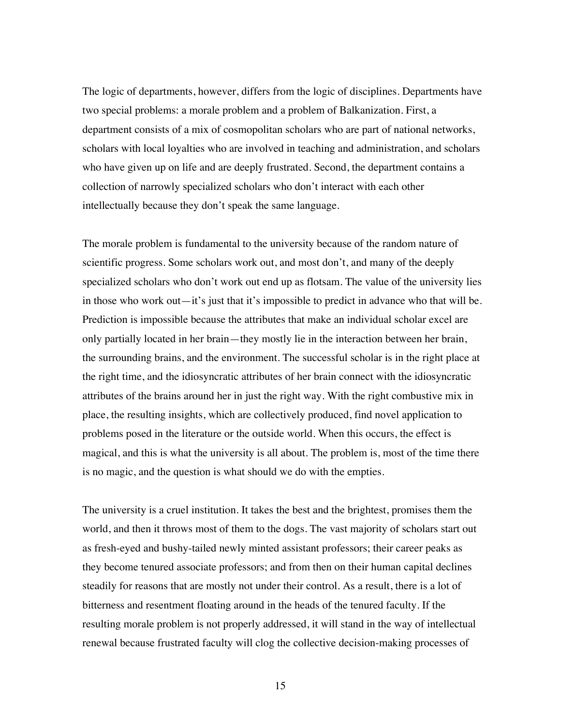The logic of departments, however, differs from the logic of disciplines. Departments have two special problems: a morale problem and a problem of Balkanization. First, a department consists of a mix of cosmopolitan scholars who are part of national networks, scholars with local loyalties who are involved in teaching and administration, and scholars who have given up on life and are deeply frustrated. Second, the department contains a collection of narrowly specialized scholars who don't interact with each other intellectually because they don't speak the same language.

The morale problem is fundamental to the university because of the random nature of scientific progress. Some scholars work out, and most don't, and many of the deeply specialized scholars who don't work out end up as flotsam. The value of the university lies in those who work out—it's just that it's impossible to predict in advance who that will be. Prediction is impossible because the attributes that make an individual scholar excel are only partially located in her brain—they mostly lie in the interaction between her brain, the surrounding brains, and the environment. The successful scholar is in the right place at the right time, and the idiosyncratic attributes of her brain connect with the idiosyncratic attributes of the brains around her in just the right way. With the right combustive mix in place, the resulting insights, which are collectively produced, find novel application to problems posed in the literature or the outside world. When this occurs, the effect is magical, and this is what the university is all about. The problem is, most of the time there is no magic, and the question is what should we do with the empties.

The university is a cruel institution. It takes the best and the brightest, promises them the world, and then it throws most of them to the dogs. The vast majority of scholars start out as fresh-eyed and bushy-tailed newly minted assistant professors; their career peaks as they become tenured associate professors; and from then on their human capital declines steadily for reasons that are mostly not under their control. As a result, there is a lot of bitterness and resentment floating around in the heads of the tenured faculty. If the resulting morale problem is not properly addressed, it will stand in the way of intellectual renewal because frustrated faculty will clog the collective decision-making processes of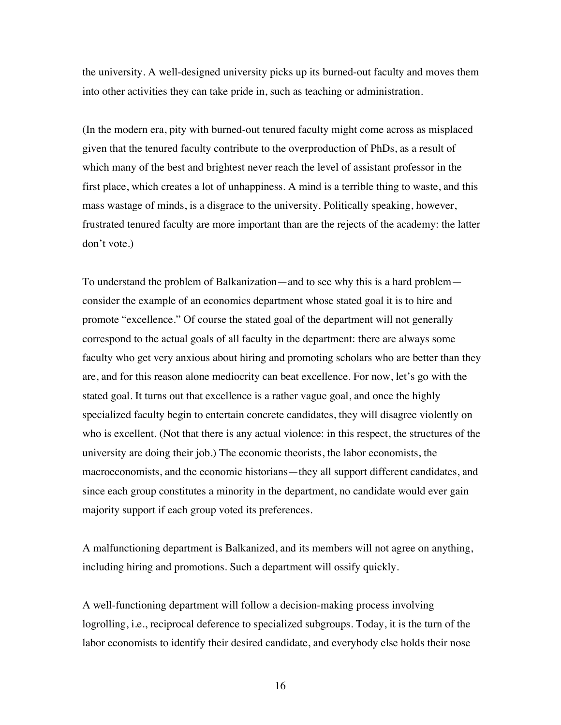the university. A well-designed university picks up its burned-out faculty and moves them into other activities they can take pride in, such as teaching or administration.

(In the modern era, pity with burned-out tenured faculty might come across as misplaced given that the tenured faculty contribute to the overproduction of PhDs, as a result of which many of the best and brightest never reach the level of assistant professor in the first place, which creates a lot of unhappiness. A mind is a terrible thing to waste, and this mass wastage of minds, is a disgrace to the university. Politically speaking, however, frustrated tenured faculty are more important than are the rejects of the academy: the latter don't vote.)

To understand the problem of Balkanization—and to see why this is a hard problem consider the example of an economics department whose stated goal it is to hire and promote "excellence." Of course the stated goal of the department will not generally correspond to the actual goals of all faculty in the department: there are always some faculty who get very anxious about hiring and promoting scholars who are better than they are, and for this reason alone mediocrity can beat excellence. For now, let's go with the stated goal. It turns out that excellence is a rather vague goal, and once the highly specialized faculty begin to entertain concrete candidates, they will disagree violently on who is excellent. (Not that there is any actual violence: in this respect, the structures of the university are doing their job.) The economic theorists, the labor economists, the macroeconomists, and the economic historians—they all support different candidates, and since each group constitutes a minority in the department, no candidate would ever gain majority support if each group voted its preferences.

A malfunctioning department is Balkanized, and its members will not agree on anything, including hiring and promotions. Such a department will ossify quickly.

A well-functioning department will follow a decision-making process involving logrolling, i.e., reciprocal deference to specialized subgroups. Today, it is the turn of the labor economists to identify their desired candidate, and everybody else holds their nose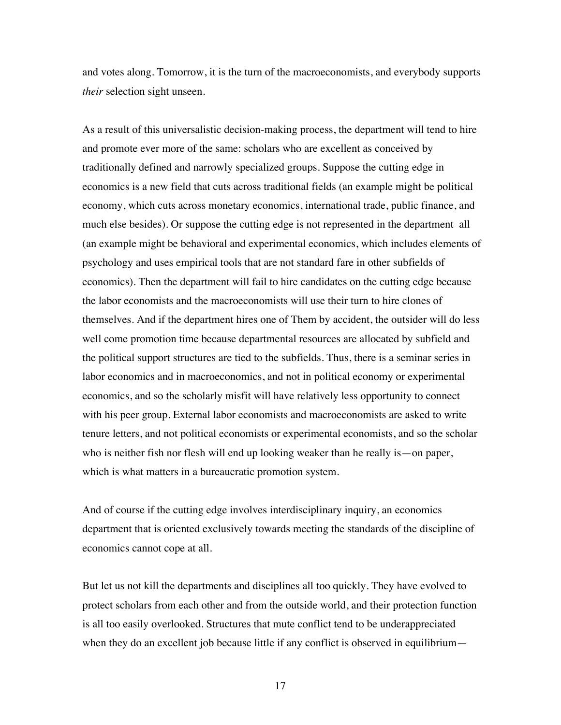and votes along. Tomorrow, it is the turn of the macroeconomists, and everybody supports *their* selection sight unseen.

As a result of this universalistic decision-making process, the department will tend to hire and promote ever more of the same: scholars who are excellent as conceived by traditionally defined and narrowly specialized groups. Suppose the cutting edge in economics is a new field that cuts across traditional fields (an example might be political economy, which cuts across monetary economics, international trade, public finance, and much else besides). Or suppose the cutting edge is not represented in the department all (an example might be behavioral and experimental economics, which includes elements of psychology and uses empirical tools that are not standard fare in other subfields of economics). Then the department will fail to hire candidates on the cutting edge because the labor economists and the macroeconomists will use their turn to hire clones of themselves. And if the department hires one of Them by accident, the outsider will do less well come promotion time because departmental resources are allocated by subfield and the political support structures are tied to the subfields. Thus, there is a seminar series in labor economics and in macroeconomics, and not in political economy or experimental economics, and so the scholarly misfit will have relatively less opportunity to connect with his peer group. External labor economists and macroeconomists are asked to write tenure letters, and not political economists or experimental economists, and so the scholar who is neither fish nor flesh will end up looking weaker than he really is—on paper, which is what matters in a bureaucratic promotion system.

And of course if the cutting edge involves interdisciplinary inquiry, an economics department that is oriented exclusively towards meeting the standards of the discipline of economics cannot cope at all.

But let us not kill the departments and disciplines all too quickly. They have evolved to protect scholars from each other and from the outside world, and their protection function is all too easily overlooked. Structures that mute conflict tend to be underappreciated when they do an excellent job because little if any conflict is observed in equilibrium—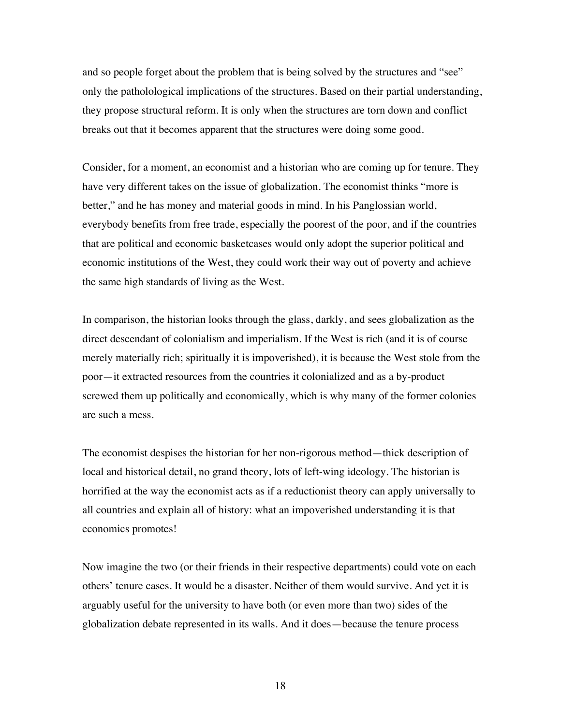and so people forget about the problem that is being solved by the structures and "see" only the patholological implications of the structures. Based on their partial understanding, they propose structural reform. It is only when the structures are torn down and conflict breaks out that it becomes apparent that the structures were doing some good.

Consider, for a moment, an economist and a historian who are coming up for tenure. They have very different takes on the issue of globalization. The economist thinks "more is better," and he has money and material goods in mind. In his Panglossian world, everybody benefits from free trade, especially the poorest of the poor, and if the countries that are political and economic basketcases would only adopt the superior political and economic institutions of the West, they could work their way out of poverty and achieve the same high standards of living as the West.

In comparison, the historian looks through the glass, darkly, and sees globalization as the direct descendant of colonialism and imperialism. If the West is rich (and it is of course merely materially rich; spiritually it is impoverished), it is because the West stole from the poor—it extracted resources from the countries it colonialized and as a by-product screwed them up politically and economically, which is why many of the former colonies are such a mess.

The economist despises the historian for her non-rigorous method—thick description of local and historical detail, no grand theory, lots of left-wing ideology. The historian is horrified at the way the economist acts as if a reductionist theory can apply universally to all countries and explain all of history: what an impoverished understanding it is that economics promotes!

Now imagine the two (or their friends in their respective departments) could vote on each others' tenure cases. It would be a disaster. Neither of them would survive. And yet it is arguably useful for the university to have both (or even more than two) sides of the globalization debate represented in its walls. And it does—because the tenure process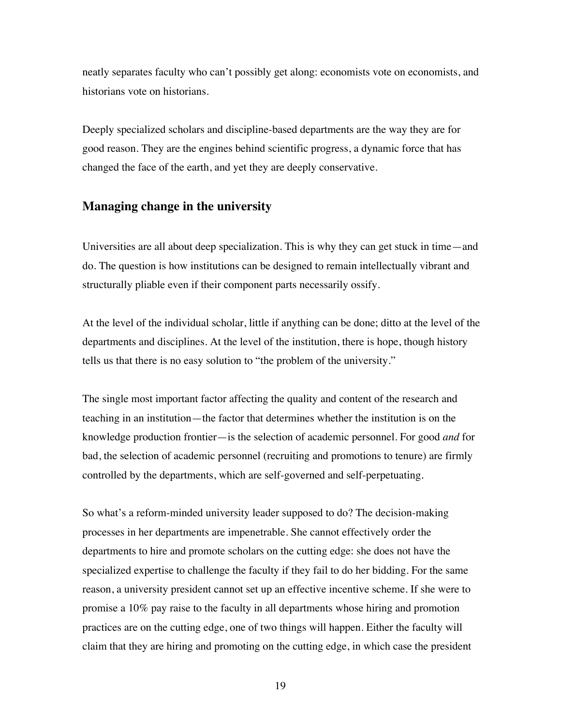neatly separates faculty who can't possibly get along: economists vote on economists, and historians vote on historians.

Deeply specialized scholars and discipline-based departments are the way they are for good reason. They are the engines behind scientific progress, a dynamic force that has changed the face of the earth, and yet they are deeply conservative.

#### **Managing change in the university**

Universities are all about deep specialization. This is why they can get stuck in time—and do. The question is how institutions can be designed to remain intellectually vibrant and structurally pliable even if their component parts necessarily ossify.

At the level of the individual scholar, little if anything can be done; ditto at the level of the departments and disciplines. At the level of the institution, there is hope, though history tells us that there is no easy solution to "the problem of the university."

The single most important factor affecting the quality and content of the research and teaching in an institution—the factor that determines whether the institution is on the knowledge production frontier—is the selection of academic personnel. For good *and* for bad, the selection of academic personnel (recruiting and promotions to tenure) are firmly controlled by the departments, which are self-governed and self-perpetuating.

So what's a reform-minded university leader supposed to do? The decision-making processes in her departments are impenetrable. She cannot effectively order the departments to hire and promote scholars on the cutting edge: she does not have the specialized expertise to challenge the faculty if they fail to do her bidding. For the same reason, a university president cannot set up an effective incentive scheme. If she were to promise a 10% pay raise to the faculty in all departments whose hiring and promotion practices are on the cutting edge, one of two things will happen. Either the faculty will claim that they are hiring and promoting on the cutting edge, in which case the president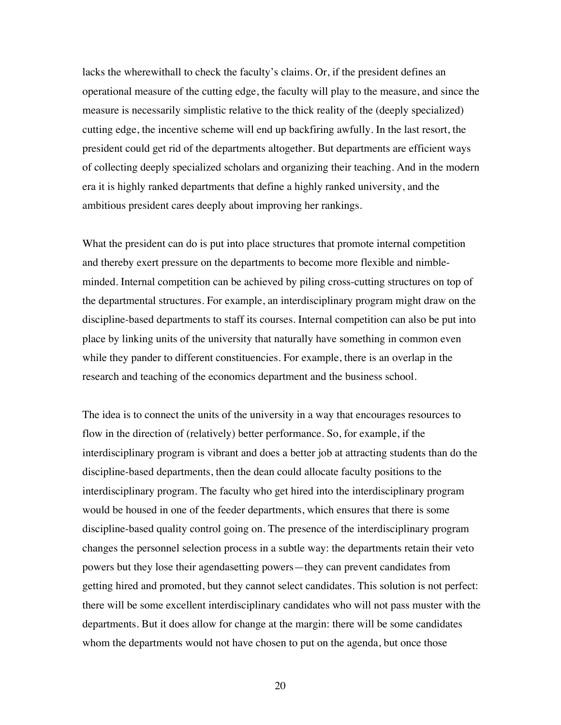lacks the wherewithall to check the faculty's claims. Or, if the president defines an operational measure of the cutting edge, the faculty will play to the measure, and since the measure is necessarily simplistic relative to the thick reality of the (deeply specialized) cutting edge, the incentive scheme will end up backfiring awfully. In the last resort, the president could get rid of the departments altogether. But departments are efficient ways of collecting deeply specialized scholars and organizing their teaching. And in the modern era it is highly ranked departments that define a highly ranked university, and the ambitious president cares deeply about improving her rankings.

What the president can do is put into place structures that promote internal competition and thereby exert pressure on the departments to become more flexible and nimbleminded. Internal competition can be achieved by piling cross-cutting structures on top of the departmental structures. For example, an interdisciplinary program might draw on the discipline-based departments to staff its courses. Internal competition can also be put into place by linking units of the university that naturally have something in common even while they pander to different constituencies. For example, there is an overlap in the research and teaching of the economics department and the business school.

The idea is to connect the units of the university in a way that encourages resources to flow in the direction of (relatively) better performance. So, for example, if the interdisciplinary program is vibrant and does a better job at attracting students than do the discipline-based departments, then the dean could allocate faculty positions to the interdisciplinary program. The faculty who get hired into the interdisciplinary program would be housed in one of the feeder departments, which ensures that there is some discipline-based quality control going on. The presence of the interdisciplinary program changes the personnel selection process in a subtle way: the departments retain their veto powers but they lose their agendasetting powers—they can prevent candidates from getting hired and promoted, but they cannot select candidates. This solution is not perfect: there will be some excellent interdisciplinary candidates who will not pass muster with the departments. But it does allow for change at the margin: there will be some candidates whom the departments would not have chosen to put on the agenda, but once those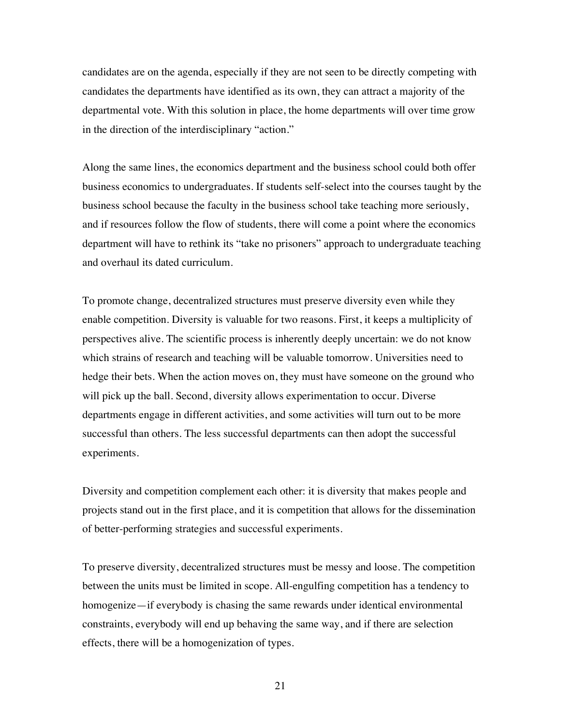candidates are on the agenda, especially if they are not seen to be directly competing with candidates the departments have identified as its own, they can attract a majority of the departmental vote. With this solution in place, the home departments will over time grow in the direction of the interdisciplinary "action."

Along the same lines, the economics department and the business school could both offer business economics to undergraduates. If students self-select into the courses taught by the business school because the faculty in the business school take teaching more seriously, and if resources follow the flow of students, there will come a point where the economics department will have to rethink its "take no prisoners" approach to undergraduate teaching and overhaul its dated curriculum.

To promote change, decentralized structures must preserve diversity even while they enable competition. Diversity is valuable for two reasons. First, it keeps a multiplicity of perspectives alive. The scientific process is inherently deeply uncertain: we do not know which strains of research and teaching will be valuable tomorrow. Universities need to hedge their bets. When the action moves on, they must have someone on the ground who will pick up the ball. Second, diversity allows experimentation to occur. Diverse departments engage in different activities, and some activities will turn out to be more successful than others. The less successful departments can then adopt the successful experiments.

Diversity and competition complement each other: it is diversity that makes people and projects stand out in the first place, and it is competition that allows for the dissemination of better-performing strategies and successful experiments.

To preserve diversity, decentralized structures must be messy and loose. The competition between the units must be limited in scope. All-engulfing competition has a tendency to homogenize—if everybody is chasing the same rewards under identical environmental constraints, everybody will end up behaving the same way, and if there are selection effects, there will be a homogenization of types.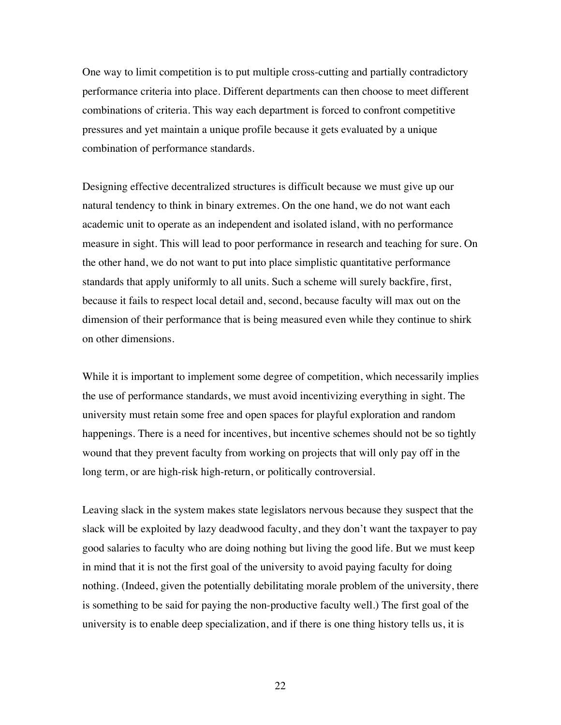One way to limit competition is to put multiple cross-cutting and partially contradictory performance criteria into place. Different departments can then choose to meet different combinations of criteria. This way each department is forced to confront competitive pressures and yet maintain a unique profile because it gets evaluated by a unique combination of performance standards.

Designing effective decentralized structures is difficult because we must give up our natural tendency to think in binary extremes. On the one hand, we do not want each academic unit to operate as an independent and isolated island, with no performance measure in sight. This will lead to poor performance in research and teaching for sure. On the other hand, we do not want to put into place simplistic quantitative performance standards that apply uniformly to all units. Such a scheme will surely backfire, first, because it fails to respect local detail and, second, because faculty will max out on the dimension of their performance that is being measured even while they continue to shirk on other dimensions.

While it is important to implement some degree of competition, which necessarily implies the use of performance standards, we must avoid incentivizing everything in sight. The university must retain some free and open spaces for playful exploration and random happenings. There is a need for incentives, but incentive schemes should not be so tightly wound that they prevent faculty from working on projects that will only pay off in the long term, or are high-risk high-return, or politically controversial.

Leaving slack in the system makes state legislators nervous because they suspect that the slack will be exploited by lazy deadwood faculty, and they don't want the taxpayer to pay good salaries to faculty who are doing nothing but living the good life. But we must keep in mind that it is not the first goal of the university to avoid paying faculty for doing nothing. (Indeed, given the potentially debilitating morale problem of the university, there is something to be said for paying the non-productive faculty well.) The first goal of the university is to enable deep specialization, and if there is one thing history tells us, it is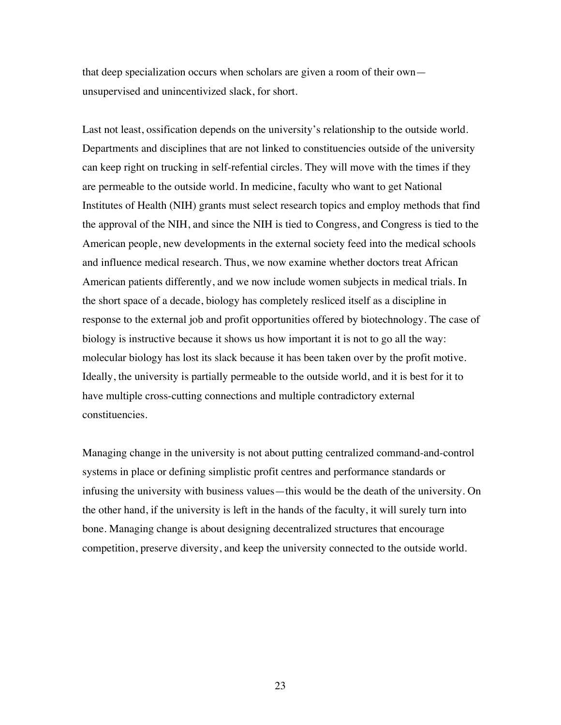that deep specialization occurs when scholars are given a room of their own unsupervised and unincentivized slack, for short.

Last not least, ossification depends on the university's relationship to the outside world. Departments and disciplines that are not linked to constituencies outside of the university can keep right on trucking in self-refential circles. They will move with the times if they are permeable to the outside world. In medicine, faculty who want to get National Institutes of Health (NIH) grants must select research topics and employ methods that find the approval of the NIH, and since the NIH is tied to Congress, and Congress is tied to the American people, new developments in the external society feed into the medical schools and influence medical research. Thus, we now examine whether doctors treat African American patients differently, and we now include women subjects in medical trials. In the short space of a decade, biology has completely resliced itself as a discipline in response to the external job and profit opportunities offered by biotechnology. The case of biology is instructive because it shows us how important it is not to go all the way: molecular biology has lost its slack because it has been taken over by the profit motive. Ideally, the university is partially permeable to the outside world, and it is best for it to have multiple cross-cutting connections and multiple contradictory external constituencies.

Managing change in the university is not about putting centralized command-and-control systems in place or defining simplistic profit centres and performance standards or infusing the university with business values—this would be the death of the university. On the other hand, if the university is left in the hands of the faculty, it will surely turn into bone. Managing change is about designing decentralized structures that encourage competition, preserve diversity, and keep the university connected to the outside world.